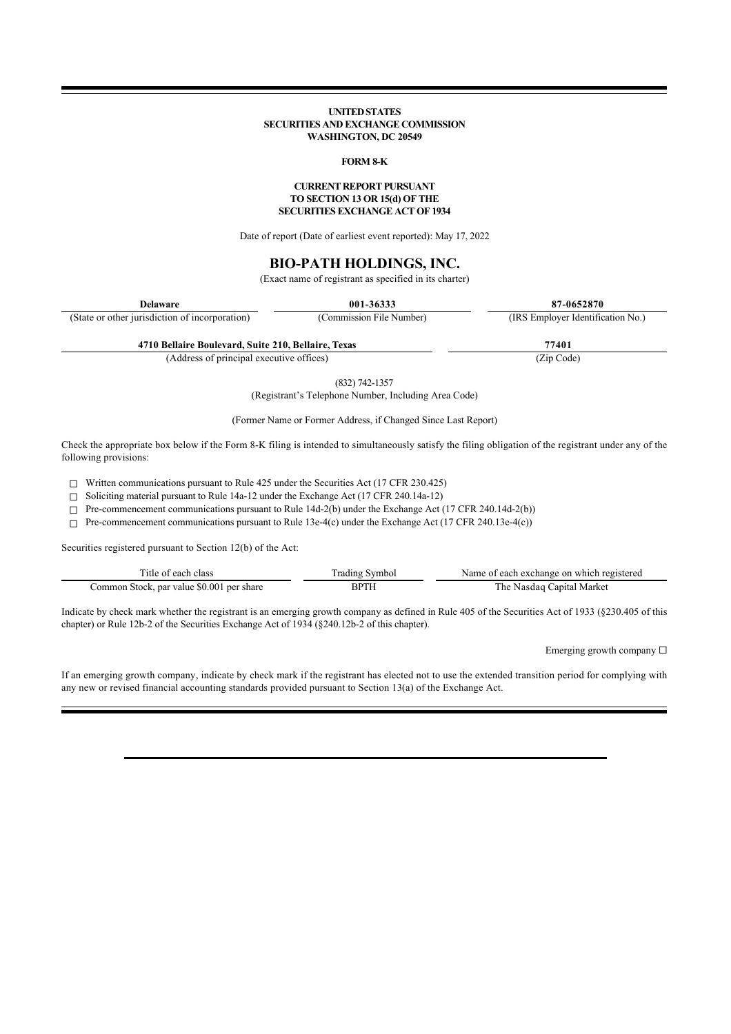### **UNITED STATES SECURITIES AND EXCHANGE COMMISSION WASHINGTON, DC 20549**

### **FORM 8-K**

#### **CURRENT REPORT PURSUANT TO SECTION 13 OR 15(d) OF THE SECURITIES EXCHANGE ACT OF 1934**

Date of report (Date of earliest event reported): May 17, 2022

# **BIO-PATH HOLDINGS, INC.**

(Exact name of registrant as specified in its charter)

| <b>Delaware</b>                                     | 001-36333                | 87-0652870                        |
|-----------------------------------------------------|--------------------------|-----------------------------------|
| (State or other jurisdiction of incorporation)      | (Commission File Number) | (IRS Employer Identification No.) |
| 4710 Bellaire Boulevard, Suite 210, Bellaire, Texas |                          | 77401                             |

(Address of principal executive offices) (Zip Code)

(832) 742-1357

(Registrant's Telephone Number, Including Area Code)

(Former Name or Former Address, if Changed Since Last Report)

Check the appropriate box below if the Form 8-K filing is intended to simultaneously satisfy the filing obligation of the registrant under any of the following provisions:

☐ Written communications pursuant to Rule 425 under the Securities Act (17 CFR 230.425)

☐ Soliciting material pursuant to Rule 14a-12 under the Exchange Act (17 CFR 240.14a-12)

 $\Box$  Pre-commencement communications pursuant to Rule 14d-2(b) under the Exchange Act (17 CFR 240.14d-2(b))

 $\Box$  Pre-commencement communications pursuant to Rule 13e-4(c) under the Exchange Act (17 CFR 240.13e-4(c))

Securities registered pursuant to Section 12(b) of the Act:

| 11e                                                  |    | a exchange on which registered<br>Name of each |
|------------------------------------------------------|----|------------------------------------------------|
| , par value \$0.001<br>per share<br>ommon<br>. Stock | в٢ | Marke<br>`he<br>`anıfa i                       |

Indicate by check mark whether the registrant is an emerging growth company as defined in Rule 405 of the Securities Act of 1933 (§230.405 of this chapter) or Rule 12b-2 of the Securities Exchange Act of 1934 (§240.12b-2 of this chapter).

Emerging growth company  $\Box$ 

If an emerging growth company, indicate by check mark if the registrant has elected not to use the extended transition period for complying with any new or revised financial accounting standards provided pursuant to Section 13(a) of the Exchange Act.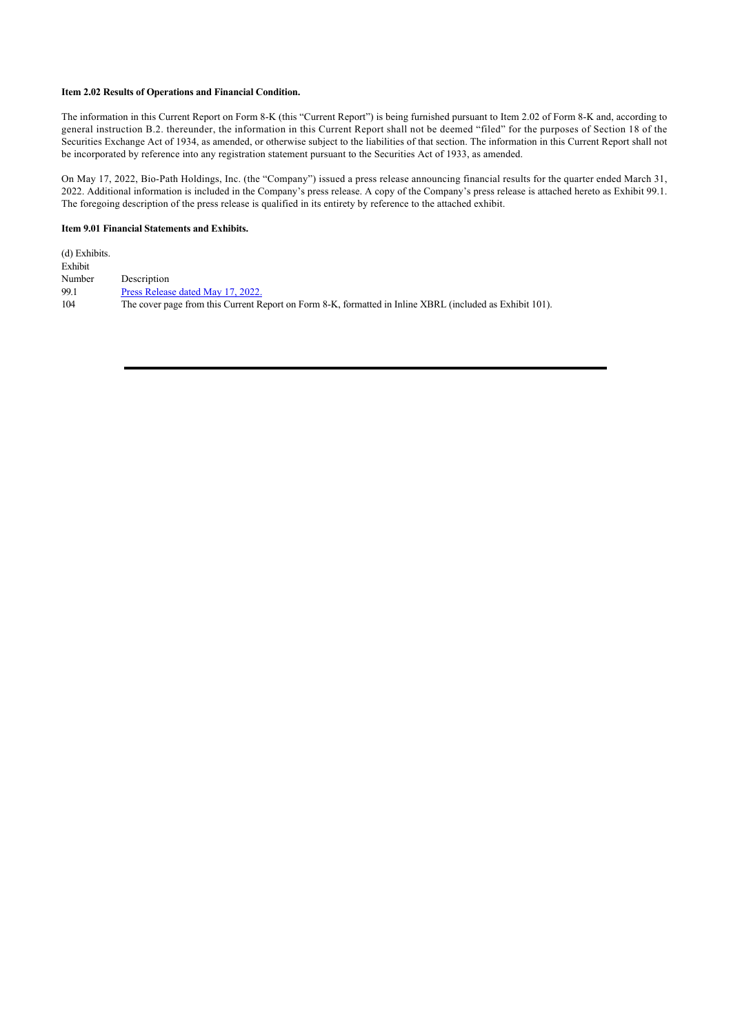# **Item 2.02 Results of Operations and Financial Condition.**

The information in this Current Report on Form 8-K (this "Current Report") is being furnished pursuant to Item 2.02 of Form 8-K and, according to general instruction B.2. thereunder, the information in this Current Report shall not be deemed "filed" for the purposes of Section 18 of the Securities Exchange Act of 1934, as amended, or otherwise subject to the liabilities of that section. The information in this Current Report shall not be incorporated by reference into any registration statement pursuant to the Securities Act of 1933, as amended.

On May 17, 2022, Bio-Path Holdings, Inc. (the "Company") issued a press release announcing financial results for the quarter ended March 31, 2022. Additional information is included in the Company's press release. A copy of the Company's press release is attached hereto as Exhibit 99.1. The foregoing description of the press release is qualified in its entirety by reference to the attached exhibit.

## **Item 9.01 Financial Statements and Exhibits.**

| (d) Exhibits. |                                                                                                          |
|---------------|----------------------------------------------------------------------------------------------------------|
| Exhibit       |                                                                                                          |
| Number        | Description                                                                                              |
| 99.1          | Press Release dated May 17, 2022.                                                                        |
| 104           | The cover page from this Current Report on Form 8-K, formatted in Inline XBRL (included as Exhibit 101). |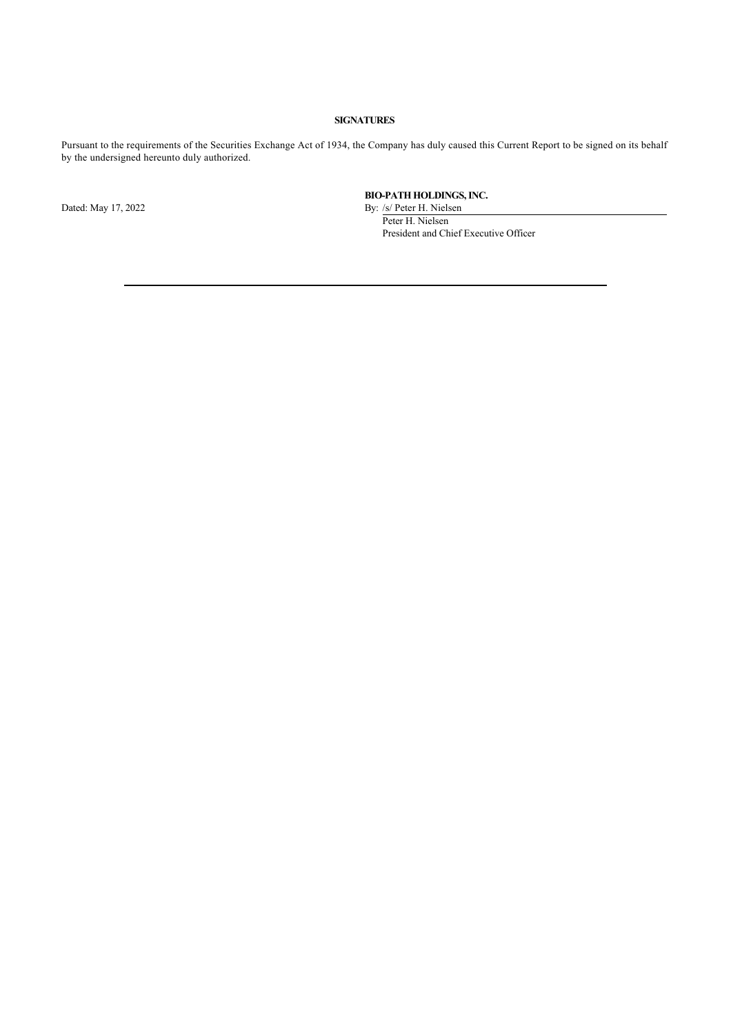# **SIGNATURES**

Pursuant to the requirements of the Securities Exchange Act of 1934, the Company has duly caused this Current Report to be signed on its behalf by the undersigned hereunto duly authorized.

**BIO-PATH HOLDINGS, INC.**

Dated: May 17, 2022 By: /s/ Peter H. Nielsen Peter H. Nielsen President and Chief Executive Officer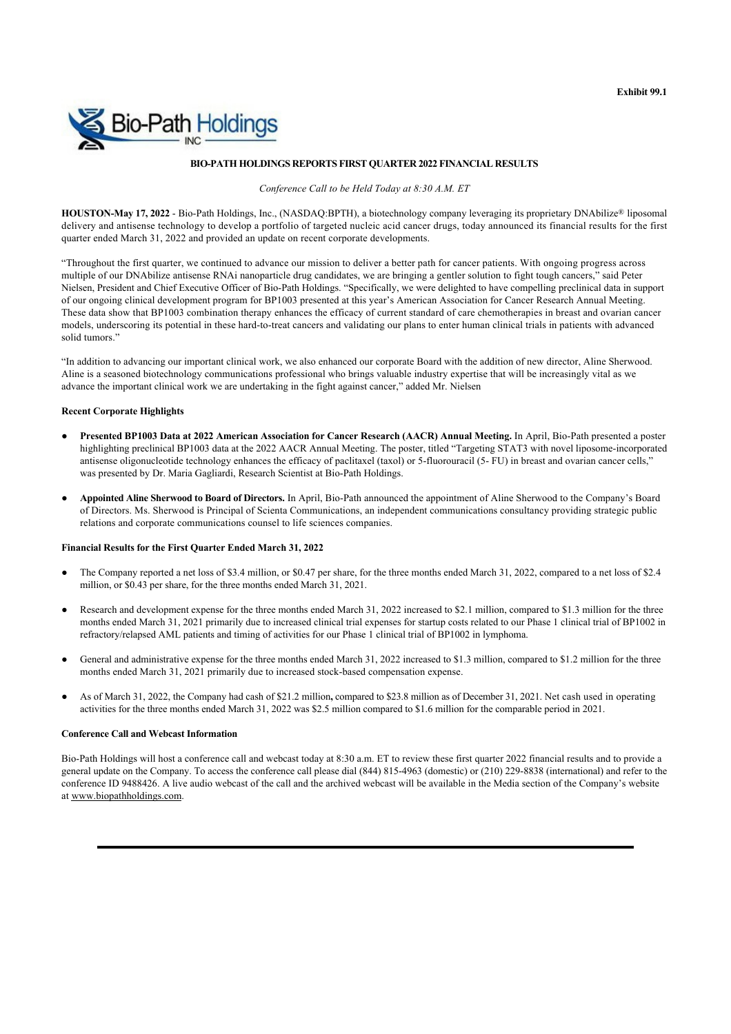

# **BIO-PATH HOLDINGS REPORTS FIRST QUARTER 2022 FINANCIAL RESULTS**

*Conference Call to be Held Today at 8:30 A.M. ET*

**HOUSTON-May 17, 2022** - Bio-Path Holdings, Inc., (NASDAQ:BPTH), a biotechnology company leveraging its proprietary DNAbilize® liposomal delivery and antisense technology to develop a portfolio of targeted nucleic acid cancer drugs, today announced its financial results for the first quarter ended March 31, 2022 and provided an update on recent corporate developments.

"Throughout the first quarter, we continued to advance our mission to deliver a better path for cancer patients. With ongoing progress across multiple of our DNAbilize antisense RNAi nanoparticle drug candidates, we are bringing a gentler solution to fight tough cancers," said Peter Nielsen, President and Chief Executive Officer of Bio-Path Holdings. "Specifically, we were delighted to have compelling preclinical data in support of our ongoing clinical development program for BP1003 presented at this year's American Association for Cancer Research Annual Meeting. These data show that BP1003 combination therapy enhances the efficacy of current standard of care chemotherapies in breast and ovarian cancer models, underscoring its potential in these hard-to-treat cancers and validating our plans to enter human clinical trials in patients with advanced solid tumors."

"In addition to advancing our important clinical work, we also enhanced our corporate Board with the addition of new director, Aline Sherwood. Aline is a seasoned biotechnology communications professional who brings valuable industry expertise that will be increasingly vital as we advance the important clinical work we are undertaking in the fight against cancer," added Mr. Nielsen

#### **Recent Corporate Highlights**

- **Presented BP1003 Data at 2022 American Association for Cancer Research (AACR) Annual Meeting.** In April, Bio-Path presented a poster highlighting preclinical BP1003 data at the 2022 AACR Annual Meeting. The poster, titled "Targeting STAT3 with novel liposome-incorporated antisense oligonucleotide technology enhances the efficacy of paclitaxel (taxol) or 5-fluorouracil (5- FU) in breast and ovarian cancer cells," was presented by Dr. Maria Gagliardi, Research Scientist at Bio-Path Holdings.
- **Appointed Aline Sherwood to Board of Directors.** In April, Bio-Path announced the appointment of Aline Sherwood to the Company's Board of Directors. Ms. Sherwood is Principal of Scienta Communications, an independent communications consultancy providing strategic public relations and corporate communications counsel to life sciences companies.

#### **Financial Results for the First Quarter Ended March 31, 2022**

- The Company reported a net loss of \$3.4 million, or \$0.47 per share, for the three months ended March 31, 2022, compared to a net loss of \$2.4 million, or \$0.43 per share, for the three months ended March 31, 2021.
- Research and development expense for the three months ended March 31, 2022 increased to \$2.1 million, compared to \$1.3 million for the three months ended March 31, 2021 primarily due to increased clinical trial expenses for startup costs related to our Phase 1 clinical trial of BP1002 in refractory/relapsed AML patients and timing of activities for our Phase 1 clinical trial of BP1002 in lymphoma.
- General and administrative expense for the three months ended March 31, 2022 increased to \$1.3 million, compared to \$1.2 million for the three months ended March 31, 2021 primarily due to increased stock-based compensation expense.
- As of March 31, 2022, the Company had cash of \$21.2 million**,** compared to \$23.8 million as of December 31, 2021. Net cash used in operating activities for the three months ended March 31, 2022 was \$2.5 million compared to \$1.6 million for the comparable period in 2021.

## **Conference Call and Webcast Information**

Bio-Path Holdings will host a conference call and webcast today at 8:30 a.m. ET to review these first quarter 2022 financial results and to provide a general update on the Company. To access the conference call please dial (844) 815-4963 (domestic) or (210) 229-8838 (international) and refer to the conference ID 9488426. A live audio webcast of the call and the archived webcast will be available in the Media section of the Company's website at www.biopathholdings.com.